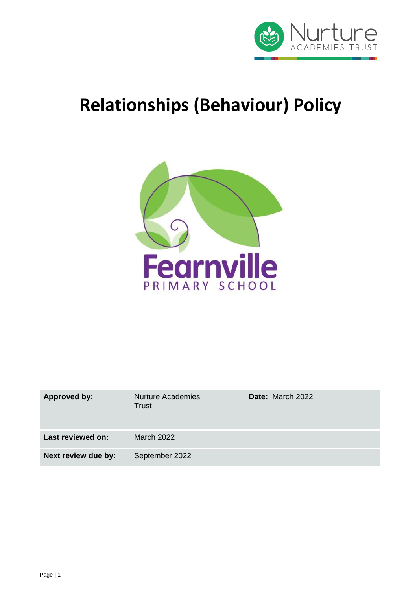

# **Relationships (Behaviour) Policy**



| <b>Approved by:</b> | <b>Nurture Academies</b><br><b>Trust</b> | <b>Date:</b> March 2022 |
|---------------------|------------------------------------------|-------------------------|
| Last reviewed on:   | March 2022                               |                         |
| Next review due by: | September 2022                           |                         |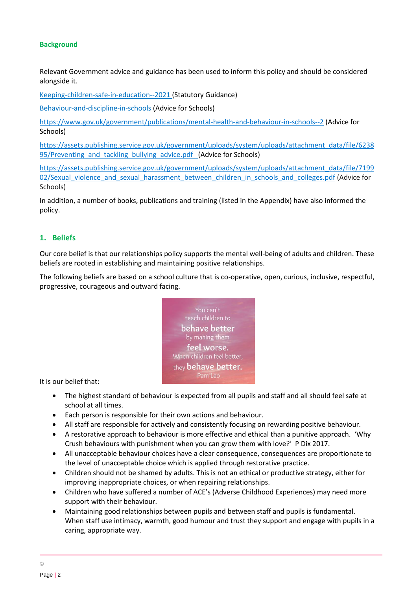#### **Background**

Relevant Government advice and guidance has been used to inform this policy and should be considered alongside it.

[Keeping-children-safe-in-education--20](https://www.gov.uk/government/publications/keeping-children-safe-in-education--2)21 (Statutory Guidance)

[Behaviour-and-discipline-in-schools](https://www.gov.uk/government/publications/behaviour-and-discipline-in-schools) (Advice for Schools)

<https://www.gov.uk/government/publications/mental-health-and-behaviour-in-schools--2> (Advice for Schools)

[https://assets.publishing.service.gov.uk/government/uploads/system/uploads/attachment\\_data/file/6238](https://assets.publishing.service.gov.uk/government/uploads/system/uploads/attachment_data/file/623895/Preventing_and_tackling_bullying_advice.pdf) 95/Preventing and tackling bullying advice.pdf (Advice for Schools)

[https://assets.publishing.service.gov.uk/government/uploads/system/uploads/attachment\\_data/file/7199](https://assets.publishing.service.gov.uk/government/uploads/system/uploads/attachment_data/file/719902/Sexual_violence_and_sexual_harassment_between_children_in_schools_and_colleges.pdf) [02/Sexual\\_violence\\_and\\_sexual\\_harassment\\_between\\_children\\_in\\_schools\\_and\\_colleges.pdf](https://assets.publishing.service.gov.uk/government/uploads/system/uploads/attachment_data/file/719902/Sexual_violence_and_sexual_harassment_between_children_in_schools_and_colleges.pdf) (Advice for Schools)

In addition, a number of books, publications and training (listed in the Appendix) have also informed the policy.

#### **1. Beliefs**

Our core belief is that our relationships policy supports the mental well-being of adults and children. These beliefs are rooted in establishing and maintaining positive relationships.

The following beliefs are based on a school culture that is co-operative, open, curious, inclusive, respectful, progressive, courageous and outward facing.



It is our belief that:

- The highest standard of behaviour is expected from all pupils and staff and all should feel safe at school at all times.
- Each person is responsible for their own actions and behaviour.
- All staff are responsible for actively and consistently focusing on rewarding positive behaviour.
- A restorative approach to behaviour is more effective and ethical than a punitive approach. 'Why Crush behaviours with punishment when you can grow them with love?' P Dix 2017.
- All unacceptable behaviour choices have a clear consequence, consequences are proportionate to the level of unacceptable choice which is applied through restorative practice.
- Children should not be shamed by adults. This is not an ethical or productive strategy, either for improving inappropriate choices, or when repairing relationships.
- Children who have suffered a number of ACE's (Adverse Childhood Experiences) may need more support with their behaviour.
- Maintaining good relationships between pupils and between staff and pupils is fundamental. When staff use intimacy, warmth, good humour and trust they support and engage with pupils in a caring, appropriate way.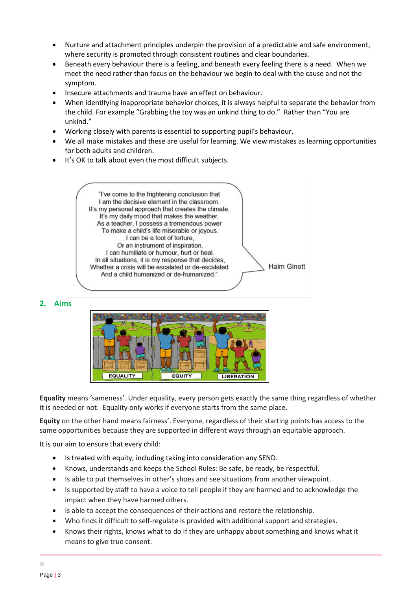- Nurture and attachment principles underpin the provision of a predictable and safe environment, where security is promoted through consistent routines and clear boundaries.
- Beneath every behaviour there is a feeling, and beneath every feeling there is a need. When we meet the need rather than focus on the behaviour we begin to deal with the cause and not the symptom.
- Insecure attachments and trauma have an effect on behaviour.
- When identifying inappropriate behavior choices, it is always helpful to separate the behavior from the child. For example "Grabbing the toy was an unkind thing to do." Rather than "You are unkind."
- Working closely with parents is essential to supporting pupil's behaviour.
- We all make mistakes and these are useful for learning. We view mistakes as learning opportunities for both adults and children.
- It's OK to talk about even the most difficult subjects.

"I've come to the frightening conclusion that I am the decisive element in the classroom. It's my personal approach that creates the climate. It's my daily mood that makes the weather. As a teacher, I possess a tremendous power To make a child's life miserable or joyous. I can be a tool of torture. Or an instrument of inspiration. I can humiliate or humour, hurt or heal. In all situations, it is my response that decides, **Haim Ginott** Whether a crisis will be escalated or de-escalated And a child humanized or de-humanized."

**2. Aims**



**Equality** means 'sameness'. Under equality, every person gets exactly the same thing regardless of whether it is needed or not. Equality only works if everyone starts from the same place.

**Equity** on the other hand means fairness'. Everyone, regardless of their starting points has access to the same opportunities because they are supported in different ways through an equitable approach.

It is our aim to ensure that every child:

- Is treated with equity, including taking into consideration any SEND.
- Knows, understands and keeps the School Rules: Be safe, be ready, be respectful.
- Is able to put themselves in other's shoes and see situations from another viewpoint.
- Is supported by staff to have a voice to tell people if they are harmed and to acknowledge the impact when they have harmed others.
- Is able to accept the consequences of their actions and restore the relationship.
- Who finds it difficult to self-regulate is provided with additional support and strategies.
- Knows their rights, knows what to do if they are unhappy about something and knows what it means to give true consent.

©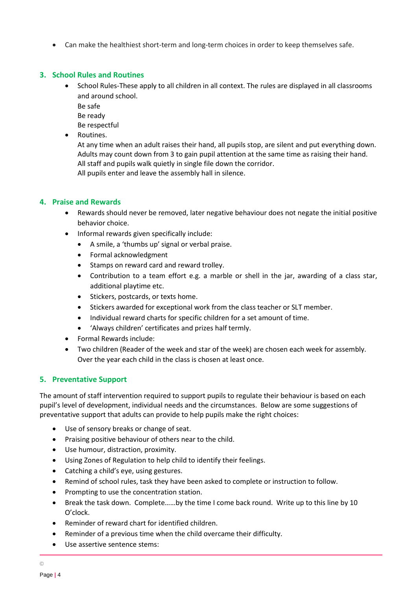• Can make the healthiest short-term and long-term choices in order to keep themselves safe.

#### **3. School Rules and Routines**

- School Rules-These apply to all children in all context. The rules are displayed in all classrooms and around school.
	- Be safe

Be ready

Be respectful

• Routines.

At any time when an adult raises their hand, all pupils stop, are silent and put everything down. Adults may count down from 3 to gain pupil attention at the same time as raising their hand. All staff and pupils walk quietly in single file down the corridor.

All pupils enter and leave the assembly hall in silence.

#### **4. Praise and Rewards**

- Rewards should never be removed, later negative behaviour does not negate the initial positive behavior choice.
- Informal rewards given specifically include:
	- A smile, a 'thumbs up' signal or verbal praise.
	- Formal acknowledgment
	- Stamps on reward card and reward trolley.
	- Contribution to a team effort e.g. a marble or shell in the jar, awarding of a class star, additional playtime etc.
	- Stickers, postcards, or texts home.
	- Stickers awarded for exceptional work from the class teacher or SLT member.
	- Individual reward charts for specific children for a set amount of time.
	- 'Always children' certificates and prizes half termly.
- Formal Rewards include:
- Two children (Reader of the week and star of the week) are chosen each week for assembly. Over the year each child in the class is chosen at least once.

# **5. Preventative Support**

The amount of staff intervention required to support pupils to regulate their behaviour is based on each pupil's level of development, individual needs and the circumstances. Below are some suggestions of preventative support that adults can provide to help pupils make the right choices:

- Use of sensory breaks or change of seat.
- Praising positive behaviour of others near to the child.
- Use humour, distraction, proximity.
- Using Zones of Regulation to help child to identify their feelings.
- Catching a child's eye, using gestures.
- Remind of school rules, task they have been asked to complete or instruction to follow.
- Prompting to use the concentration station.
- Break the task down. Complete......by the time I come back round. Write up to this line by 10 O'clock.
- Reminder of reward chart for identified children.
- Reminder of a previous time when the child overcame their difficulty.
- Use assertive sentence stems:

©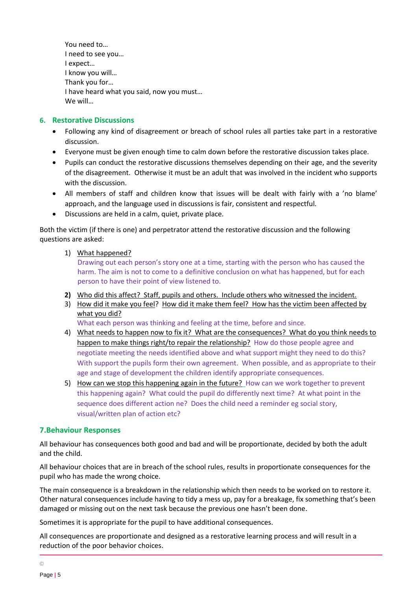You need to… I need to see you… I expect… I know you will… Thank you for… I have heard what you said, now you must… We will…

#### **6. Restorative Discussions**

- Following any kind of disagreement or breach of school rules all parties take part in a restorative discussion.
- Everyone must be given enough time to calm down before the restorative discussion takes place.
- Pupils can conduct the restorative discussions themselves depending on their age, and the severity of the disagreement. Otherwise it must be an adult that was involved in the incident who supports with the discussion.
- All members of staff and children know that issues will be dealt with fairly with a 'no blame' approach, and the language used in discussions is fair, consistent and respectful.
- Discussions are held in a calm, quiet, private place.

Both the victim (if there is one) and perpetrator attend the restorative discussion and the following questions are asked:

1) What happened?

Drawing out each person's story one at a time, starting with the person who has caused the harm. The aim is not to come to a definitive conclusion on what has happened, but for each person to have their point of view listened to.

- **2)** Who did this affect? Staff, pupils and others. Include others who witnessed the incident.
- 3) How did it make you feel? How did it make them feel? How has the victim been affected by what you did?

What each person was thinking and feeling at the time, before and since.

- 4) What needs to happen now to fix it? What are the consequences? What do you think needs to happen to make things right/to repair the relationship? How do those people agree and negotiate meeting the needs identified above and what support might they need to do this? With support the pupils form their own agreement. When possible, and as appropriate to their age and stage of development the children identify appropriate consequences.
- 5) How can we stop this happening again in the future? How can we work together to prevent this happening again? What could the pupil do differently next time? At what point in the sequence does different action ne? Does the child need a reminder eg social story, visual/written plan of action etc?

#### **7.Behaviour Responses**

All behaviour has consequences both good and bad and will be proportionate, decided by both the adult and the child.

All behaviour choices that are in breach of the school rules, results in proportionate consequences for the pupil who has made the wrong choice.

The main consequence is a breakdown in the relationship which then needs to be worked on to restore it. Other natural consequences include having to tidy a mess up, pay for a breakage, fix something that's been damaged or missing out on the next task because the previous one hasn't been done.

Sometimes it is appropriate for the pupil to have additional consequences.

All consequences are proportionate and designed as a restorative learning process and will result in a reduction of the poor behavior choices.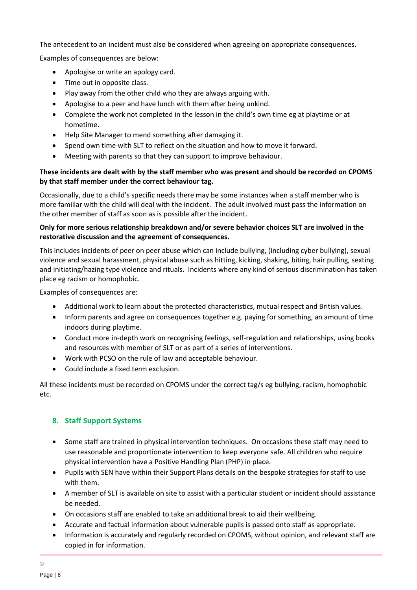The antecedent to an incident must also be considered when agreeing on appropriate consequences.

Examples of consequences are below:

- Apologise or write an apology card.
- Time out in opposite class.
- Play away from the other child who they are always arguing with.
- Apologise to a peer and have lunch with them after being unkind.
- Complete the work not completed in the lesson in the child's own time eg at playtime or at hometime.
- Help Site Manager to mend something after damaging it.
- Spend own time with SLT to reflect on the situation and how to move it forward.
- Meeting with parents so that they can support to improve behaviour.

#### **These incidents are dealt with by the staff member who was present and should be recorded on CPOMS by that staff member under the correct behaviour tag.**

Occasionally, due to a child's specific needs there may be some instances when a staff member who is more familiar with the child will deal with the incident. The adult involved must pass the information on the other member of staff as soon as is possible after the incident.

## **Only for more serious relationship breakdown and/or severe behavior choices SLT are involved in the restorative discussion and the agreement of consequences.**

This includes incidents of peer on peer abuse which can include bullying, (including cyber bullying), sexual violence and sexual harassment, physical abuse such as hitting, kicking, shaking, biting, hair pulling, sexting and initiating/hazing type violence and rituals. Incidents where any kind of serious discrimination has taken place eg racism or homophobic.

Examples of consequences are:

- Additional work to learn about the protected characteristics, mutual respect and British values.
- Inform parents and agree on consequences together e.g. paying for something, an amount of time indoors during playtime.
- Conduct more in-depth work on recognising feelings, self-regulation and relationships, using books and resources with member of SLT or as part of a series of interventions.
- Work with PCSO on the rule of law and acceptable behaviour.
- Could include a fixed term exclusion.

All these incidents must be recorded on CPOMS under the correct tag/s eg bullying, racism, homophobic etc.

# **8. Staff Support Systems**

- Some staff are trained in physical intervention techniques. On occasions these staff may need to use reasonable and proportionate intervention to keep everyone safe. All children who require physical intervention have a Positive Handling Plan (PHP) in place.
- Pupils with SEN have within their Support Plans details on the bespoke strategies for staff to use with them.
- A member of SLT is available on site to assist with a particular student or incident should assistance be needed.
- On occasions staff are enabled to take an additional break to aid their wellbeing.
- Accurate and factual information about vulnerable pupils is passed onto staff as appropriate.
- Information is accurately and regularly recorded on CPOMS, without opinion, and relevant staff are copied in for information.

©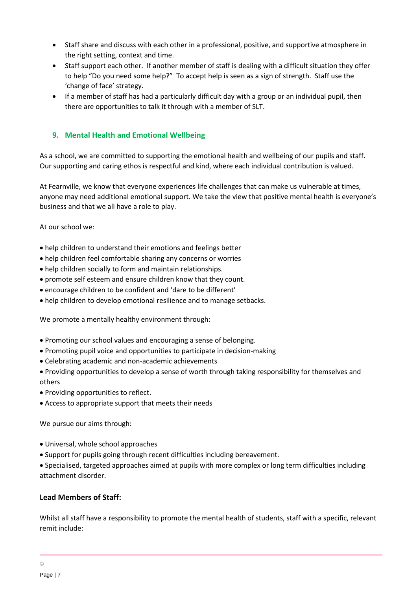- Staff share and discuss with each other in a professional, positive, and supportive atmosphere in the right setting, context and time.
- Staff support each other. If another member of staff is dealing with a difficult situation they offer to help "Do you need some help?" To accept help is seen as a sign of strength. Staff use the 'change of face' strategy.
- If a member of staff has had a particularly difficult day with a group or an individual pupil, then there are opportunities to talk it through with a member of SLT.

## **9. Mental Health and Emotional Wellbeing**

As a school, we are committed to supporting the emotional health and wellbeing of our pupils and staff. Our supporting and caring ethos is respectful and kind, where each individual contribution is valued.

At Fearnville, we know that everyone experiences life challenges that can make us vulnerable at times, anyone may need additional emotional support. We take the view that positive mental health is everyone's business and that we all have a role to play.

At our school we:

- help children to understand their emotions and feelings better
- help children feel comfortable sharing any concerns or worries
- help children socially to form and maintain relationships.
- promote self esteem and ensure children know that they count.
- encourage children to be confident and 'dare to be different'
- help children to develop emotional resilience and to manage setbacks.

We promote a mentally healthy environment through:

- Promoting our school values and encouraging a sense of belonging.
- Promoting pupil voice and opportunities to participate in decision-making
- Celebrating academic and non-academic achievements
- Providing opportunities to develop a sense of worth through taking responsibility for themselves and others
- Providing opportunities to reflect.
- Access to appropriate support that meets their needs

We pursue our aims through:

- Universal, whole school approaches
- Support for pupils going through recent difficulties including bereavement.

• Specialised, targeted approaches aimed at pupils with more complex or long term difficulties including attachment disorder.

#### **Lead Members of Staff:**

Whilst all staff have a responsibility to promote the mental health of students, staff with a specific, relevant remit include: